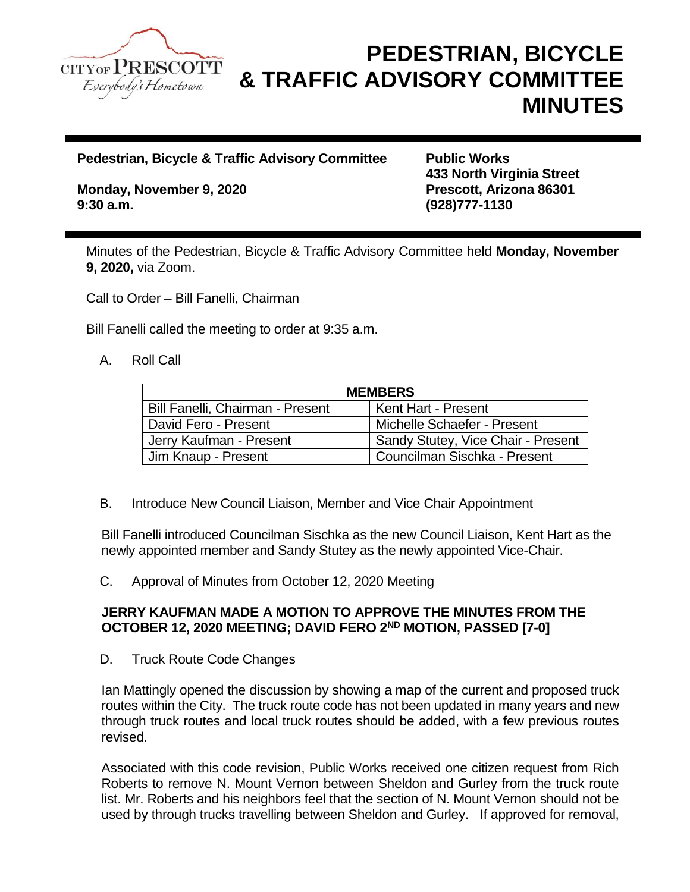

# **PEDESTRIAN, BICYCLE & TRAFFIC ADVISORY COMMITTEE MINUTES**

**Pedestrian, Bicycle & Traffic Advisory Committee Public Works** 

**Monday, November 9, 2020 Prescott, Arizona 86301 9:30 a.m. (928)777-1130**

**433 North Virginia Street**

Minutes of the Pedestrian, Bicycle & Traffic Advisory Committee held **Monday, November 9, 2020,** via Zoom.

Call to Order – Bill Fanelli, Chairman

Bill Fanelli called the meeting to order at 9:35 a.m.

### A. Roll Call

| <b>MEMBERS</b>                   |                                     |
|----------------------------------|-------------------------------------|
| Bill Fanelli, Chairman - Present | Kent Hart - Present                 |
| David Fero - Present             | Michelle Schaefer - Present         |
| Jerry Kaufman - Present          | Sandy Stutey, Vice Chair - Present  |
| Jim Knaup - Present              | <b>Councilman Sischka - Present</b> |

B. Introduce New Council Liaison, Member and Vice Chair Appointment

Bill Fanelli introduced Councilman Sischka as the new Council Liaison, Kent Hart as the newly appointed member and Sandy Stutey as the newly appointed Vice-Chair.

C. Approval of Minutes from October 12, 2020 Meeting

#### **JERRY KAUFMAN MADE A MOTION TO APPROVE THE MINUTES FROM THE OCTOBER 12, 2020 MEETING; DAVID FERO 2ND MOTION, PASSED [7-0]**

D. Truck Route Code Changes

Ian Mattingly opened the discussion by showing a map of the current and proposed truck routes within the City. The truck route code has not been updated in many years and new through truck routes and local truck routes should be added, with a few previous routes revised.

Associated with this code revision, Public Works received one citizen request from Rich Roberts to remove N. Mount Vernon between Sheldon and Gurley from the truck route list. Mr. Roberts and his neighbors feel that the section of N. Mount Vernon should not be used by through trucks travelling between Sheldon and Gurley. If approved for removal,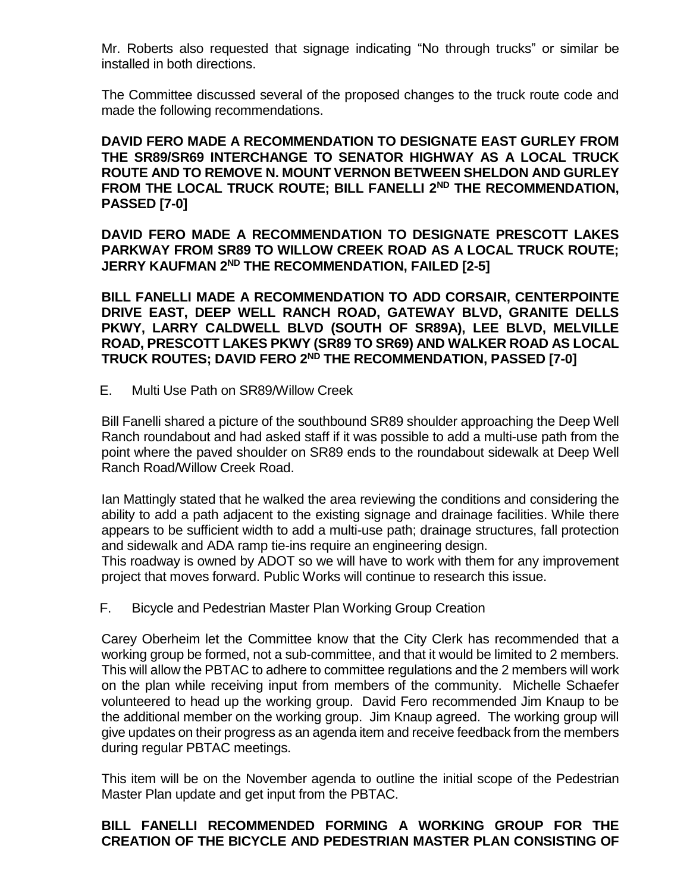Mr. Roberts also requested that signage indicating "No through trucks" or similar be installed in both directions.

The Committee discussed several of the proposed changes to the truck route code and made the following recommendations.

**DAVID FERO MADE A RECOMMENDATION TO DESIGNATE EAST GURLEY FROM THE SR89/SR69 INTERCHANGE TO SENATOR HIGHWAY AS A LOCAL TRUCK ROUTE AND TO REMOVE N. MOUNT VERNON BETWEEN SHELDON AND GURLEY FROM THE LOCAL TRUCK ROUTE; BILL FANELLI 2ND THE RECOMMENDATION, PASSED [7-0]**

**DAVID FERO MADE A RECOMMENDATION TO DESIGNATE PRESCOTT LAKES PARKWAY FROM SR89 TO WILLOW CREEK ROAD AS A LOCAL TRUCK ROUTE; JERRY KAUFMAN 2ND THE RECOMMENDATION, FAILED [2-5]**

**BILL FANELLI MADE A RECOMMENDATION TO ADD CORSAIR, CENTERPOINTE DRIVE EAST, DEEP WELL RANCH ROAD, GATEWAY BLVD, GRANITE DELLS PKWY, LARRY CALDWELL BLVD (SOUTH OF SR89A), LEE BLVD, MELVILLE ROAD, PRESCOTT LAKES PKWY (SR89 TO SR69) AND WALKER ROAD AS LOCAL TRUCK ROUTES; DAVID FERO 2ND THE RECOMMENDATION, PASSED [7-0]**

E. Multi Use Path on SR89/Willow Creek

Bill Fanelli shared a picture of the southbound SR89 shoulder approaching the Deep Well Ranch roundabout and had asked staff if it was possible to add a multi-use path from the point where the paved shoulder on SR89 ends to the roundabout sidewalk at Deep Well Ranch Road/Willow Creek Road.

Ian Mattingly stated that he walked the area reviewing the conditions and considering the ability to add a path adjacent to the existing signage and drainage facilities. While there appears to be sufficient width to add a multi-use path; drainage structures, fall protection and sidewalk and ADA ramp tie-ins require an engineering design.

This roadway is owned by ADOT so we will have to work with them for any improvement project that moves forward. Public Works will continue to research this issue.

F. Bicycle and Pedestrian Master Plan Working Group Creation

Carey Oberheim let the Committee know that the City Clerk has recommended that a working group be formed, not a sub-committee, and that it would be limited to 2 members. This will allow the PBTAC to adhere to committee regulations and the 2 members will work on the plan while receiving input from members of the community. Michelle Schaefer volunteered to head up the working group. David Fero recommended Jim Knaup to be the additional member on the working group. Jim Knaup agreed. The working group will give updates on their progress as an agenda item and receive feedback from the members during regular PBTAC meetings.

This item will be on the November agenda to outline the initial scope of the Pedestrian Master Plan update and get input from the PBTAC.

### **BILL FANELLI RECOMMENDED FORMING A WORKING GROUP FOR THE CREATION OF THE BICYCLE AND PEDESTRIAN MASTER PLAN CONSISTING OF**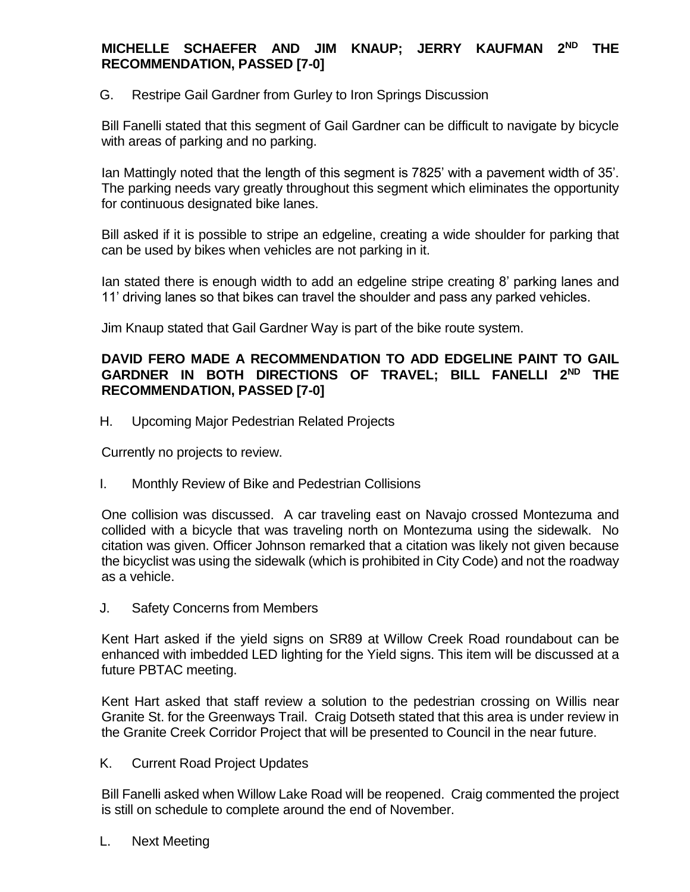## **MICHELLE SCHAEFER AND JIM KNAUP; JERRY KAUFMAN 2ND THE RECOMMENDATION, PASSED [7-0]**

G. Restripe Gail Gardner from Gurley to Iron Springs Discussion

Bill Fanelli stated that this segment of Gail Gardner can be difficult to navigate by bicycle with areas of parking and no parking.

Ian Mattingly noted that the length of this segment is 7825' with a pavement width of 35'. The parking needs vary greatly throughout this segment which eliminates the opportunity for continuous designated bike lanes.

Bill asked if it is possible to stripe an edgeline, creating a wide shoulder for parking that can be used by bikes when vehicles are not parking in it.

Ian stated there is enough width to add an edgeline stripe creating 8' parking lanes and 11' driving lanes so that bikes can travel the shoulder and pass any parked vehicles.

Jim Knaup stated that Gail Gardner Way is part of the bike route system.

### **DAVID FERO MADE A RECOMMENDATION TO ADD EDGELINE PAINT TO GAIL GARDNER IN BOTH DIRECTIONS OF TRAVEL; BILL FANELLI 2ND THE RECOMMENDATION, PASSED [7-0]**

H. Upcoming Major Pedestrian Related Projects

Currently no projects to review.

I. Monthly Review of Bike and Pedestrian Collisions

One collision was discussed. A car traveling east on Navajo crossed Montezuma and collided with a bicycle that was traveling north on Montezuma using the sidewalk. No citation was given. Officer Johnson remarked that a citation was likely not given because the bicyclist was using the sidewalk (which is prohibited in City Code) and not the roadway as a vehicle.

J. Safety Concerns from Members

Kent Hart asked if the yield signs on SR89 at Willow Creek Road roundabout can be enhanced with imbedded LED lighting for the Yield signs. This item will be discussed at a future PBTAC meeting.

Kent Hart asked that staff review a solution to the pedestrian crossing on Willis near Granite St. for the Greenways Trail. Craig Dotseth stated that this area is under review in the Granite Creek Corridor Project that will be presented to Council in the near future.

K. Current Road Project Updates

Bill Fanelli asked when Willow Lake Road will be reopened. Craig commented the project is still on schedule to complete around the end of November.

L. Next Meeting